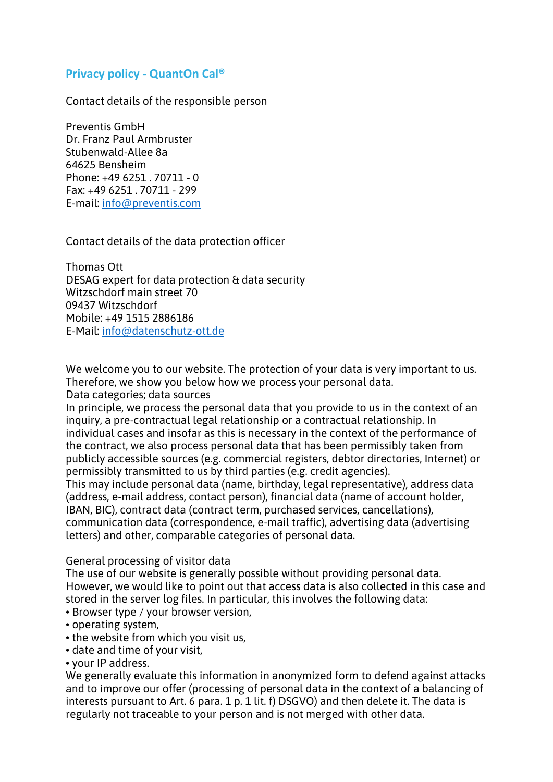# **Privacy policy - QuantOn Cal®**

Contact details of the responsible person

Preventis GmbH Dr. Franz Paul Armbruster Stubenwald-Allee 8a 64625 Bensheim Phone: +49 6251 . 70711 - 0 Fax: +49 6251 . 70711 - 299 E-mail: [info@preventis.com](mailto:info@preventis.com)

Contact details of the data protection officer

Thomas Ott DESAG expert for data protection & data security Witzschdorf main street 70 09437 Witzschdorf Mobile: +49 1515 2886186 E-Mail: [info@datenschutz-ott.de](mailto:info@datenschutz-ott.de)

We welcome you to our website. The protection of your data is very important to us. Therefore, we show you below how we process your personal data.

Data categories; data sources

In principle, we process the personal data that you provide to us in the context of an inquiry, a pre-contractual legal relationship or a contractual relationship. In individual cases and insofar as this is necessary in the context of the performance of the contract, we also process personal data that has been permissibly taken from publicly accessible sources (e.g. commercial registers, debtor directories, Internet) or permissibly transmitted to us by third parties (e.g. credit agencies).

This may include personal data (name, birthday, legal representative), address data (address, e-mail address, contact person), financial data (name of account holder, IBAN, BIC), contract data (contract term, purchased services, cancellations), communication data (correspondence, e-mail traffic), advertising data (advertising letters) and other, comparable categories of personal data.

#### General processing of visitor data

The use of our website is generally possible without providing personal data. However, we would like to point out that access data is also collected in this case and stored in the server log files. In particular, this involves the following data:

- Browser type / your browser version,
- operating system,
- the website from which you visit us,
- date and time of your visit,
- your IP address.

We generally evaluate this information in anonymized form to defend against attacks and to improve our offer (processing of personal data in the context of a balancing of interests pursuant to Art. 6 para. 1 p. 1 lit. f) DSGVO) and then delete it. The data is regularly not traceable to your person and is not merged with other data.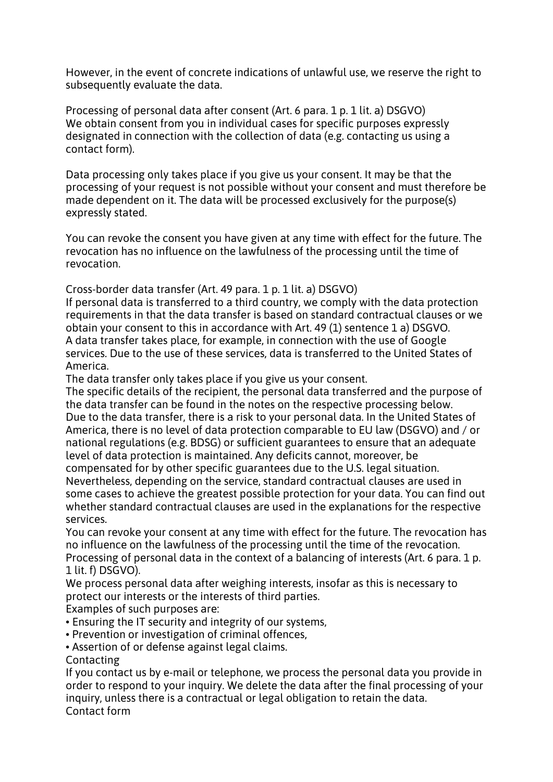However, in the event of concrete indications of unlawful use, we reserve the right to subsequently evaluate the data.

Processing of personal data after consent (Art. 6 para. 1 p. 1 lit. a) DSGVO) We obtain consent from you in individual cases for specific purposes expressly designated in connection with the collection of data (e.g. contacting us using a contact form).

Data processing only takes place if you give us your consent. It may be that the processing of your request is not possible without your consent and must therefore be made dependent on it. The data will be processed exclusively for the purpose(s) expressly stated.

You can revoke the consent you have given at any time with effect for the future. The revocation has no influence on the lawfulness of the processing until the time of revocation.

Cross-border data transfer (Art. 49 para. 1 p. 1 lit. a) DSGVO)

If personal data is transferred to a third country, we comply with the data protection requirements in that the data transfer is based on standard contractual clauses or we obtain your consent to this in accordance with Art. 49 (1) sentence 1 a) DSGVO. A data transfer takes place, for example, in connection with the use of Google services. Due to the use of these services, data is transferred to the United States of America.

The data transfer only takes place if you give us your consent.

The specific details of the recipient, the personal data transferred and the purpose of the data transfer can be found in the notes on the respective processing below. Due to the data transfer, there is a risk to your personal data. In the United States of America, there is no level of data protection comparable to EU law (DSGVO) and / or national regulations (e.g. BDSG) or sufficient guarantees to ensure that an adequate level of data protection is maintained. Any deficits cannot, moreover, be

compensated for by other specific guarantees due to the U.S. legal situation. Nevertheless, depending on the service, standard contractual clauses are used in some cases to achieve the greatest possible protection for your data. You can find out whether standard contractual clauses are used in the explanations for the respective services.

You can revoke your consent at any time with effect for the future. The revocation has no influence on the lawfulness of the processing until the time of the revocation. Processing of personal data in the context of a balancing of interests (Art. 6 para. 1 p. 1 lit. f) DSGVO).

We process personal data after weighing interests, insofar as this is necessary to protect our interests or the interests of third parties.

Examples of such purposes are:

- Ensuring the IT security and integrity of our systems,
- Prevention or investigation of criminal offences,
- Assertion of or defense against legal claims.

Contacting

If you contact us by e-mail or telephone, we process the personal data you provide in order to respond to your inquiry. We delete the data after the final processing of your inquiry, unless there is a contractual or legal obligation to retain the data. Contact form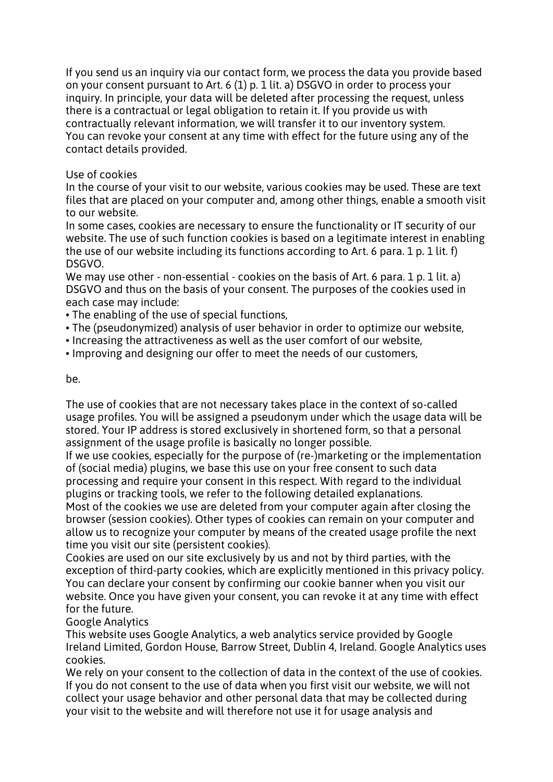If you send us an inquiry via our contact form, we process the data you provide based on your consent pursuant to Art. 6 (1) p. 1 lit. a) DSGVO in order to process your inquiry. In principle, your data will be deleted after processing the request, unless there is a contractual or legal obligation to retain it. If you provide us with contractually relevant information, we will transfer it to our inventory system. You can revoke your consent at any time with effect for the future using any of the contact details provided.

# Use of cookies

In the course of your visit to our website, various cookies may be used. These are text files that are placed on your computer and, among other things, enable a smooth visit to our website.

In some cases, cookies are necessary to ensure the functionality or IT security of our website. The use of such function cookies is based on a legitimate interest in enabling the use of our website including its functions according to Art. 6 para. 1 p. 1 lit. f) DSGVO.

We may use other - non-essential - cookies on the basis of Art. 6 para. 1 p. 1 lit. a) DSGVO and thus on the basis of your consent. The purposes of the cookies used in each case may include:

- The enabling of the use of special functions,
- The (pseudonymized) analysis of user behavior in order to optimize our website,
- Increasing the attractiveness as well as the user comfort of our website,
- Improving and designing our offer to meet the needs of our customers,

#### be.

The use of cookies that are not necessary takes place in the context of so-called usage profiles. You will be assigned a pseudonym under which the usage data will be stored. Your IP address is stored exclusively in shortened form, so that a personal assignment of the usage profile is basically no longer possible.

If we use cookies, especially for the purpose of (re-)marketing or the implementation of (social media) plugins, we base this use on your free consent to such data processing and require your consent in this respect. With regard to the individual plugins or tracking tools, we refer to the following detailed explanations.

Most of the cookies we use are deleted from your computer again after closing the browser (session cookies). Other types of cookies can remain on your computer and allow us to recognize your computer by means of the created usage profile the next time you visit our site (persistent cookies).

Cookies are used on our site exclusively by us and not by third parties, with the exception of third-party cookies, which are explicitly mentioned in this privacy policy. You can declare your consent by confirming our cookie banner when you visit our website. Once you have given your consent, you can revoke it at any time with effect for the future.

# Google Analytics

This website uses Google Analytics, a web analytics service provided by Google Ireland Limited, Gordon House, Barrow Street, Dublin 4, Ireland. Google Analytics uses cookies.

We rely on your consent to the collection of data in the context of the use of cookies. If you do not consent to the use of data when you first visit our website, we will not collect your usage behavior and other personal data that may be collected during your visit to the website and will therefore not use it for usage analysis and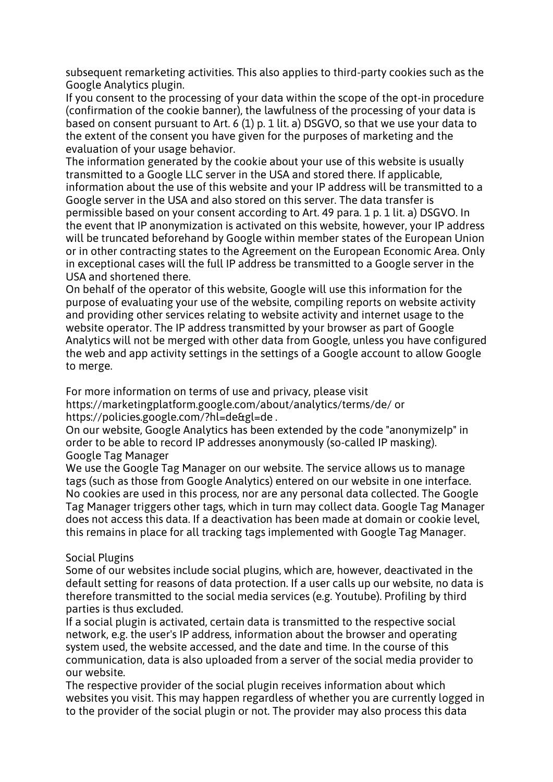subsequent remarketing activities. This also applies to third-party cookies such as the Google Analytics plugin.

If you consent to the processing of your data within the scope of the opt-in procedure (confirmation of the cookie banner), the lawfulness of the processing of your data is based on consent pursuant to Art. 6 (1) p. 1 lit. a) DSGVO, so that we use your data to the extent of the consent you have given for the purposes of marketing and the evaluation of your usage behavior.

The information generated by the cookie about your use of this website is usually transmitted to a Google LLC server in the USA and stored there. If applicable, information about the use of this website and your IP address will be transmitted to a Google server in the USA and also stored on this server. The data transfer is permissible based on your consent according to Art. 49 para. 1 p. 1 lit. a) DSGVO. In the event that IP anonymization is activated on this website, however, your IP address will be truncated beforehand by Google within member states of the European Union or in other contracting states to the Agreement on the European Economic Area. Only in exceptional cases will the full IP address be transmitted to a Google server in the USA and shortened there.

On behalf of the operator of this website, Google will use this information for the purpose of evaluating your use of the website, compiling reports on website activity and providing other services relating to website activity and internet usage to the website operator. The IP address transmitted by your browser as part of Google Analytics will not be merged with other data from Google, unless you have configured the web and app activity settings in the settings of a Google account to allow Google to merge.

For more information on terms of use and privacy, please visit https://marketingplatform.google.com/about/analytics/terms/de/ or https://policies.google.com/?hl=de&gl=de .

On our website, Google Analytics has been extended by the code "anonymizeIp" in order to be able to record IP addresses anonymously (so-called IP masking). Google Tag Manager

We use the Google Tag Manager on our website. The service allows us to manage tags (such as those from Google Analytics) entered on our website in one interface. No cookies are used in this process, nor are any personal data collected. The Google Tag Manager triggers other tags, which in turn may collect data. Google Tag Manager does not access this data. If a deactivation has been made at domain or cookie level, this remains in place for all tracking tags implemented with Google Tag Manager.

# Social Plugins

Some of our websites include social plugins, which are, however, deactivated in the default setting for reasons of data protection. If a user calls up our website, no data is therefore transmitted to the social media services (e.g. Youtube). Profiling by third parties is thus excluded.

If a social plugin is activated, certain data is transmitted to the respective social network, e.g. the user's IP address, information about the browser and operating system used, the website accessed, and the date and time. In the course of this communication, data is also uploaded from a server of the social media provider to our website.

The respective provider of the social plugin receives information about which websites you visit. This may happen regardless of whether you are currently logged in to the provider of the social plugin or not. The provider may also process this data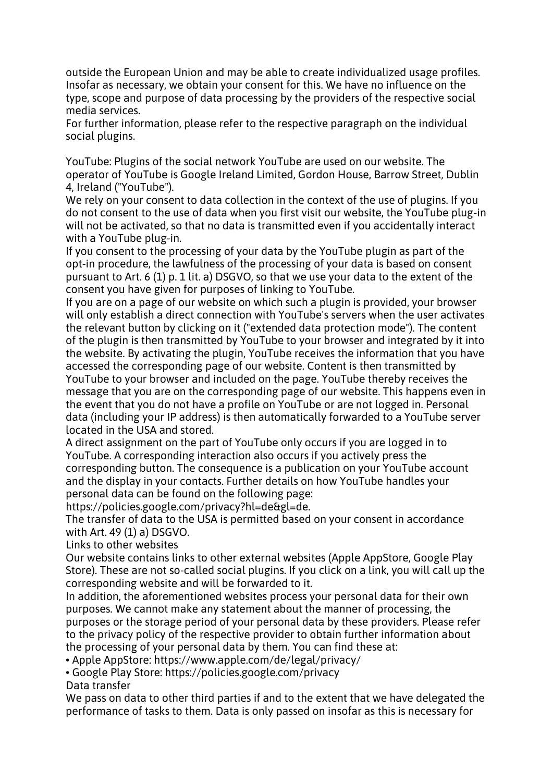outside the European Union and may be able to create individualized usage profiles. Insofar as necessary, we obtain your consent for this. We have no influence on the type, scope and purpose of data processing by the providers of the respective social media services.

For further information, please refer to the respective paragraph on the individual social plugins.

YouTube: Plugins of the social network YouTube are used on our website. The operator of YouTube is Google Ireland Limited, Gordon House, Barrow Street, Dublin 4, Ireland ("YouTube").

We rely on your consent to data collection in the context of the use of plugins. If you do not consent to the use of data when you first visit our website, the YouTube plug-in will not be activated, so that no data is transmitted even if you accidentally interact with a YouTube plug-in.

If you consent to the processing of your data by the YouTube plugin as part of the opt-in procedure, the lawfulness of the processing of your data is based on consent pursuant to Art. 6 (1) p. 1 lit. a) DSGVO, so that we use your data to the extent of the consent you have given for purposes of linking to YouTube.

If you are on a page of our website on which such a plugin is provided, your browser will only establish a direct connection with YouTube's servers when the user activates the relevant button by clicking on it ("extended data protection mode"). The content of the plugin is then transmitted by YouTube to your browser and integrated by it into the website. By activating the plugin, YouTube receives the information that you have accessed the corresponding page of our website. Content is then transmitted by YouTube to your browser and included on the page. YouTube thereby receives the message that you are on the corresponding page of our website. This happens even in the event that you do not have a profile on YouTube or are not logged in. Personal data (including your IP address) is then automatically forwarded to a YouTube server located in the USA and stored.

A direct assignment on the part of YouTube only occurs if you are logged in to YouTube. A corresponding interaction also occurs if you actively press the corresponding button. The consequence is a publication on your YouTube account and the display in your contacts. Further details on how YouTube handles your personal data can be found on the following page:

https://policies.google.com/privacy?hl=de&gl=de.

The transfer of data to the USA is permitted based on your consent in accordance with Art. 49 (1) a) DSGVO.

Links to other websites

Our website contains links to other external websites (Apple AppStore, Google Play Store). These are not so-called social plugins. If you click on a link, you will call up the corresponding website and will be forwarded to it.

In addition, the aforementioned websites process your personal data for their own purposes. We cannot make any statement about the manner of processing, the purposes or the storage period of your personal data by these providers. Please refer to the privacy policy of the respective provider to obtain further information about the processing of your personal data by them. You can find these at:

• Apple AppStore: https://www.apple.com/de/legal/privacy/

• Google Play Store: https://policies.google.com/privacy

Data transfer

We pass on data to other third parties if and to the extent that we have delegated the performance of tasks to them. Data is only passed on insofar as this is necessary for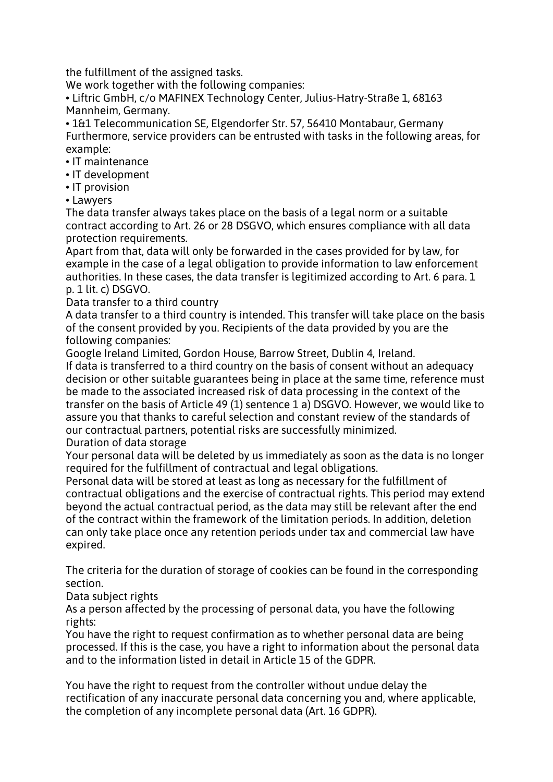the fulfillment of the assigned tasks.

We work together with the following companies:

• Liftric GmbH, c/o MAFINEX Technology Center, Julius-Hatry-Straße 1, 68163 Mannheim, Germany.

• 1&1 Telecommunication SE, Elgendorfer Str. 57, 56410 Montabaur, Germany Furthermore, service providers can be entrusted with tasks in the following areas, for example:

- IT maintenance
- IT development
- IT provision
- Lawyers

The data transfer always takes place on the basis of a legal norm or a suitable contract according to Art. 26 or 28 DSGVO, which ensures compliance with all data protection requirements.

Apart from that, data will only be forwarded in the cases provided for by law, for example in the case of a legal obligation to provide information to law enforcement authorities. In these cases, the data transfer is legitimized according to Art. 6 para. 1 p. 1 lit. c) DSGVO.

Data transfer to a third country

A data transfer to a third country is intended. This transfer will take place on the basis of the consent provided by you. Recipients of the data provided by you are the following companies:

Google Ireland Limited, Gordon House, Barrow Street, Dublin 4, Ireland.

If data is transferred to a third country on the basis of consent without an adequacy decision or other suitable guarantees being in place at the same time, reference must be made to the associated increased risk of data processing in the context of the transfer on the basis of Article 49 (1) sentence 1 a) DSGVO. However, we would like to assure you that thanks to careful selection and constant review of the standards of our contractual partners, potential risks are successfully minimized.

# Duration of data storage

Your personal data will be deleted by us immediately as soon as the data is no longer required for the fulfillment of contractual and legal obligations.

Personal data will be stored at least as long as necessary for the fulfillment of contractual obligations and the exercise of contractual rights. This period may extend beyond the actual contractual period, as the data may still be relevant after the end of the contract within the framework of the limitation periods. In addition, deletion can only take place once any retention periods under tax and commercial law have expired.

The criteria for the duration of storage of cookies can be found in the corresponding section.

Data subject rights

As a person affected by the processing of personal data, you have the following rights:

You have the right to request confirmation as to whether personal data are being processed. If this is the case, you have a right to information about the personal data and to the information listed in detail in Article 15 of the GDPR.

You have the right to request from the controller without undue delay the rectification of any inaccurate personal data concerning you and, where applicable, the completion of any incomplete personal data (Art. 16 GDPR).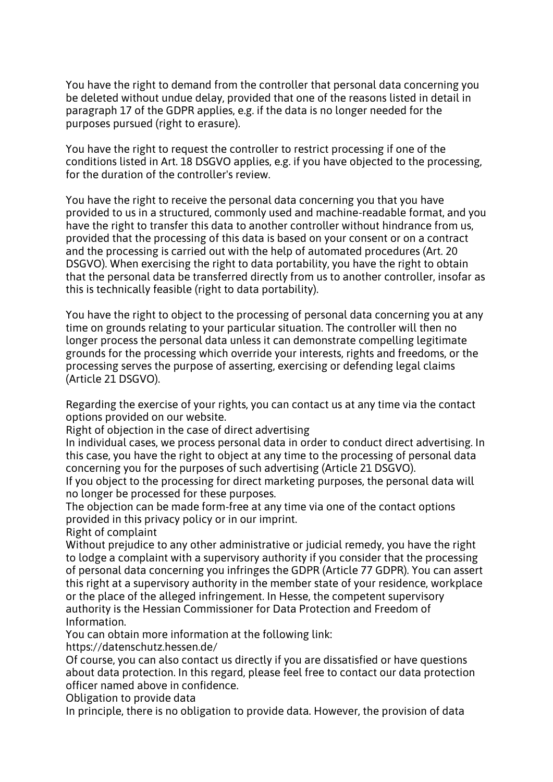You have the right to demand from the controller that personal data concerning you be deleted without undue delay, provided that one of the reasons listed in detail in paragraph 17 of the GDPR applies, e.g. if the data is no longer needed for the purposes pursued (right to erasure).

You have the right to request the controller to restrict processing if one of the conditions listed in Art. 18 DSGVO applies, e.g. if you have objected to the processing, for the duration of the controller's review.

You have the right to receive the personal data concerning you that you have provided to us in a structured, commonly used and machine-readable format, and you have the right to transfer this data to another controller without hindrance from us, provided that the processing of this data is based on your consent or on a contract and the processing is carried out with the help of automated procedures (Art. 20 DSGVO). When exercising the right to data portability, you have the right to obtain that the personal data be transferred directly from us to another controller, insofar as this is technically feasible (right to data portability).

You have the right to object to the processing of personal data concerning you at any time on grounds relating to your particular situation. The controller will then no longer process the personal data unless it can demonstrate compelling legitimate grounds for the processing which override your interests, rights and freedoms, or the processing serves the purpose of asserting, exercising or defending legal claims (Article 21 DSGVO).

Regarding the exercise of your rights, you can contact us at any time via the contact options provided on our website.

Right of objection in the case of direct advertising

In individual cases, we process personal data in order to conduct direct advertising. In this case, you have the right to object at any time to the processing of personal data concerning you for the purposes of such advertising (Article 21 DSGVO).

If you object to the processing for direct marketing purposes, the personal data will no longer be processed for these purposes.

The objection can be made form-free at any time via one of the contact options provided in this privacy policy or in our imprint.

Right of complaint

Without prejudice to any other administrative or judicial remedy, you have the right to lodge a complaint with a supervisory authority if you consider that the processing of personal data concerning you infringes the GDPR (Article 77 GDPR). You can assert this right at a supervisory authority in the member state of your residence, workplace or the place of the alleged infringement. In Hesse, the competent supervisory authority is the Hessian Commissioner for Data Protection and Freedom of Information.

You can obtain more information at the following link:

https://datenschutz.hessen.de/

Of course, you can also contact us directly if you are dissatisfied or have questions about data protection. In this regard, please feel free to contact our data protection officer named above in confidence.

Obligation to provide data

In principle, there is no obligation to provide data. However, the provision of data